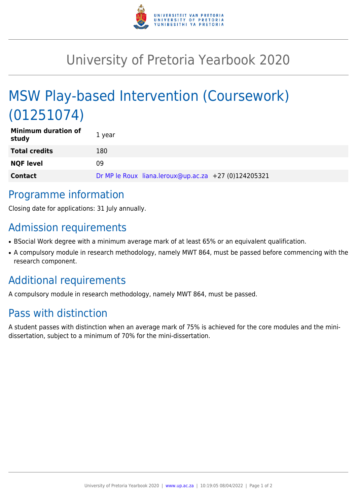

## University of Pretoria Yearbook 2020

# MSW Play-based Intervention (Coursework) (01251074)

| <b>Minimum duration of</b><br>study | 1 year                                               |
|-------------------------------------|------------------------------------------------------|
| <b>Total credits</b>                | 180                                                  |
| <b>NQF level</b>                    | 09                                                   |
| <b>Contact</b>                      | Dr MP le Roux liana.leroux@up.ac.za +27 (0)124205321 |

#### Programme information

Closing date for applications: 31 July annually.

#### Admission requirements

- BSocial Work degree with a minimum average mark of at least 65% or an equivalent qualification.
- A compulsory module in research methodology, namely MWT 864, must be passed before commencing with the research component.

### Additional requirements

A compulsory module in research methodology, namely MWT 864, must be passed.

### Pass with distinction

A student passes with distinction when an average mark of 75% is achieved for the core modules and the minidissertation, subject to a minimum of 70% for the mini-dissertation.